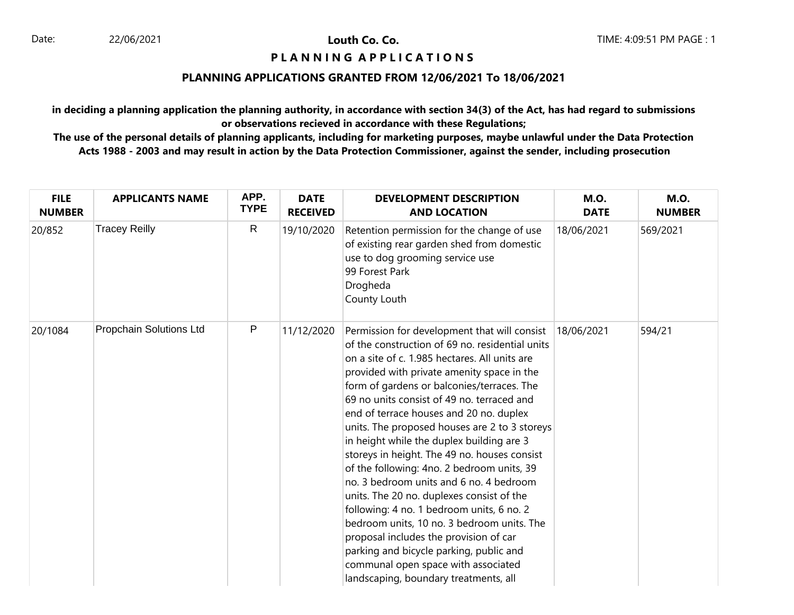# **P L A N N I N G A P P L I C A T I O N S**

## **PLANNING APPLICATIONS GRANTED FROM 12/06/2021 To 18/06/2021**

**in deciding a planning application the planning authority, in accordance with section 34(3) of the Act, has had regard to submissions or observations recieved in accordance with these Regulations;**

| <b>FILE</b><br><b>NUMBER</b> | <b>APPLICANTS NAME</b>  | APP.<br><b>TYPE</b> | <b>DATE</b><br><b>RECEIVED</b> | <b>DEVELOPMENT DESCRIPTION</b><br><b>AND LOCATION</b>                                                                                                                                                                                                                                                                                                                                                                                                                                                                                                                                                                                                                                                                                                                                                                                                                                     | <b>M.O.</b><br><b>DATE</b> | <b>M.O.</b><br><b>NUMBER</b> |
|------------------------------|-------------------------|---------------------|--------------------------------|-------------------------------------------------------------------------------------------------------------------------------------------------------------------------------------------------------------------------------------------------------------------------------------------------------------------------------------------------------------------------------------------------------------------------------------------------------------------------------------------------------------------------------------------------------------------------------------------------------------------------------------------------------------------------------------------------------------------------------------------------------------------------------------------------------------------------------------------------------------------------------------------|----------------------------|------------------------------|
| 20/852                       | <b>Tracey Reilly</b>    | $\mathsf{R}$        | 19/10/2020                     | Retention permission for the change of use<br>of existing rear garden shed from domestic<br>use to dog grooming service use<br>99 Forest Park<br>Drogheda<br>County Louth                                                                                                                                                                                                                                                                                                                                                                                                                                                                                                                                                                                                                                                                                                                 | 18/06/2021                 | 569/2021                     |
| 20/1084                      | Propchain Solutions Ltd | $\mathsf{P}$        | 11/12/2020                     | Permission for development that will consist<br>of the construction of 69 no. residential units<br>on a site of c. 1.985 hectares. All units are<br>provided with private amenity space in the<br>form of gardens or balconies/terraces. The<br>69 no units consist of 49 no. terraced and<br>end of terrace houses and 20 no. duplex<br>units. The proposed houses are 2 to 3 storeys<br>in height while the duplex building are 3<br>storeys in height. The 49 no. houses consist<br>of the following: 4no. 2 bedroom units, 39<br>no. 3 bedroom units and 6 no. 4 bedroom<br>units. The 20 no. duplexes consist of the<br>following: 4 no. 1 bedroom units, 6 no. 2<br>bedroom units, 10 no. 3 bedroom units. The<br>proposal includes the provision of car<br>parking and bicycle parking, public and<br>communal open space with associated<br>landscaping, boundary treatments, all | 18/06/2021                 | 594/21                       |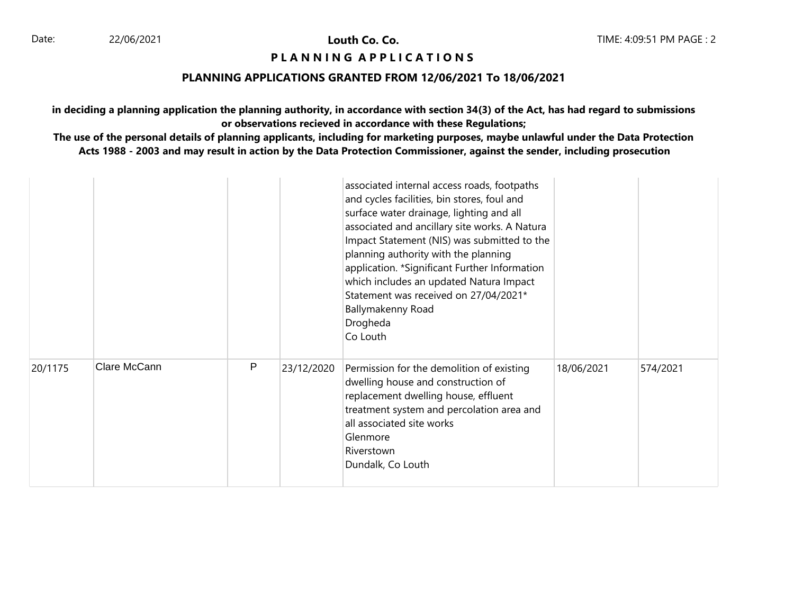# **PIANNING APPLICATIONS**

#### **PLANNING APPLICATIONS GRANTED FROM 12/06/2021 To 18/06/2021**

**in deciding a planning application the planning authority, in accordance with section 34(3) of the Act, has had regard to submissions or observations recieved in accordance with these Regulations;**

|         |              |   |            | associated internal access roads, footpaths<br>and cycles facilities, bin stores, foul and<br>surface water drainage, lighting and all<br>associated and ancillary site works. A Natura<br>Impact Statement (NIS) was submitted to the<br>planning authority with the planning<br>application. *Significant Further Information<br>which includes an updated Natura Impact<br>Statement was received on 27/04/2021*<br>Ballymakenny Road<br>Drogheda<br>Co Louth |            |          |
|---------|--------------|---|------------|------------------------------------------------------------------------------------------------------------------------------------------------------------------------------------------------------------------------------------------------------------------------------------------------------------------------------------------------------------------------------------------------------------------------------------------------------------------|------------|----------|
| 20/1175 | Clare McCann | P | 23/12/2020 | Permission for the demolition of existing<br>dwelling house and construction of<br>replacement dwelling house, effluent<br>treatment system and percolation area and<br>all associated site works<br>Glenmore<br>Riverstown<br>Dundalk, Co Louth                                                                                                                                                                                                                 | 18/06/2021 | 574/2021 |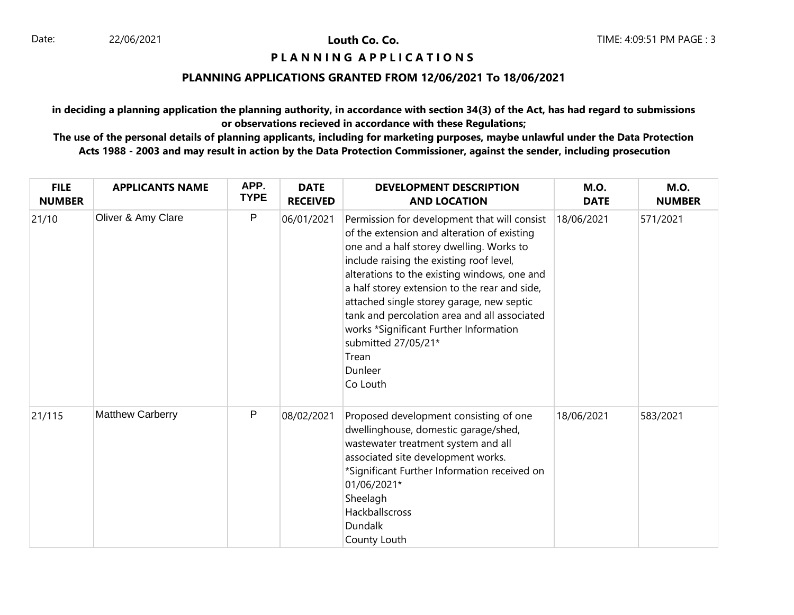## **PIANNING APPLICATIONS**

## **PLANNING APPLICATIONS GRANTED FROM 12/06/2021 To 18/06/2021**

**in deciding a planning application the planning authority, in accordance with section 34(3) of the Act, has had regard to submissions or observations recieved in accordance with these Regulations;**

| <b>FILE</b><br><b>NUMBER</b> | <b>APPLICANTS NAME</b>  | APP.<br><b>TYPE</b> | <b>DATE</b><br><b>RECEIVED</b> | <b>DEVELOPMENT DESCRIPTION</b><br><b>AND LOCATION</b>                                                                                                                                                                                                                                                                                                                                                                                                                              | <b>M.O.</b><br><b>DATE</b> | <b>M.O.</b><br><b>NUMBER</b> |
|------------------------------|-------------------------|---------------------|--------------------------------|------------------------------------------------------------------------------------------------------------------------------------------------------------------------------------------------------------------------------------------------------------------------------------------------------------------------------------------------------------------------------------------------------------------------------------------------------------------------------------|----------------------------|------------------------------|
| 21/10                        | Oliver & Amy Clare      | P                   | 06/01/2021                     | Permission for development that will consist<br>of the extension and alteration of existing<br>one and a half storey dwelling. Works to<br>include raising the existing roof level,<br>alterations to the existing windows, one and<br>a half storey extension to the rear and side,<br>attached single storey garage, new septic<br>tank and percolation area and all associated<br>works *Significant Further Information<br>submitted 27/05/21*<br>Trean<br>Dunleer<br>Co Louth | 18/06/2021                 | 571/2021                     |
| 21/115                       | <b>Matthew Carberry</b> | ${\sf P}$           | 08/02/2021                     | Proposed development consisting of one<br>dwellinghouse, domestic garage/shed,<br>wastewater treatment system and all<br>associated site development works.<br>*Significant Further Information received on<br>01/06/2021*<br>Sheelagh<br>Hackballscross<br><b>Dundalk</b><br>County Louth                                                                                                                                                                                         | 18/06/2021                 | 583/2021                     |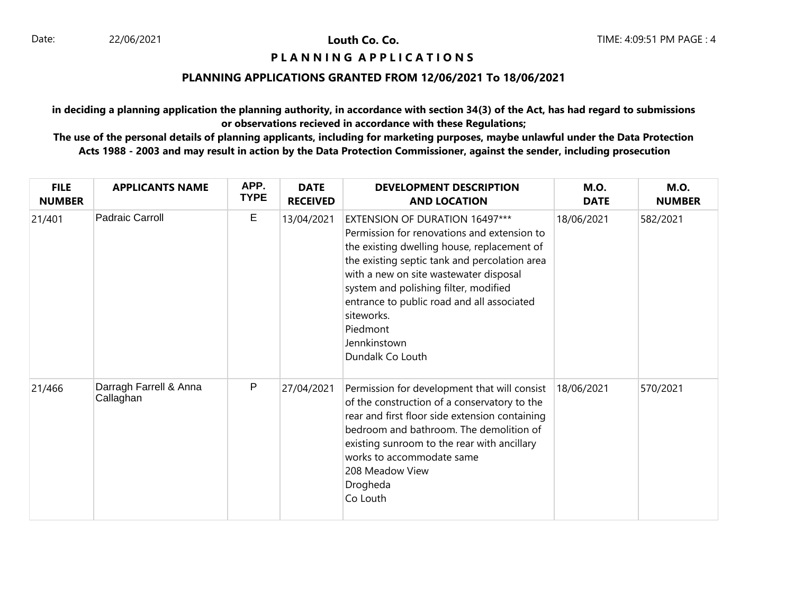# **PIANNING APPLICATIONS**

#### **PLANNING APPLICATIONS GRANTED FROM 12/06/2021 To 18/06/2021**

**in deciding a planning application the planning authority, in accordance with section 34(3) of the Act, has had regard to submissions or observations recieved in accordance with these Regulations;**

| <b>FILE</b><br><b>NUMBER</b> | <b>APPLICANTS NAME</b>              | APP.<br><b>TYPE</b> | <b>DATE</b><br><b>RECEIVED</b> | <b>DEVELOPMENT DESCRIPTION</b><br><b>AND LOCATION</b>                                                                                                                                                                                                                                                                                                                        | <b>M.O.</b><br><b>DATE</b> | <b>M.O.</b><br><b>NUMBER</b> |
|------------------------------|-------------------------------------|---------------------|--------------------------------|------------------------------------------------------------------------------------------------------------------------------------------------------------------------------------------------------------------------------------------------------------------------------------------------------------------------------------------------------------------------------|----------------------------|------------------------------|
| 21/401                       | Padraic Carroll                     | Е                   | 13/04/2021                     | EXTENSION OF DURATION 16497***<br>Permission for renovations and extension to<br>the existing dwelling house, replacement of<br>the existing septic tank and percolation area<br>with a new on site wastewater disposal<br>system and polishing filter, modified<br>entrance to public road and all associated<br>siteworks.<br>Piedmont<br>Jennkinstown<br>Dundalk Co Louth | 18/06/2021                 | 582/2021                     |
| 21/466                       | Darragh Farrell & Anna<br>Callaghan | P                   | 27/04/2021                     | Permission for development that will consist<br>of the construction of a conservatory to the<br>rear and first floor side extension containing<br>bedroom and bathroom. The demolition of<br>existing sunroom to the rear with ancillary<br>works to accommodate same<br>208 Meadow View<br>Drogheda<br>Co Louth                                                             | 18/06/2021                 | 570/2021                     |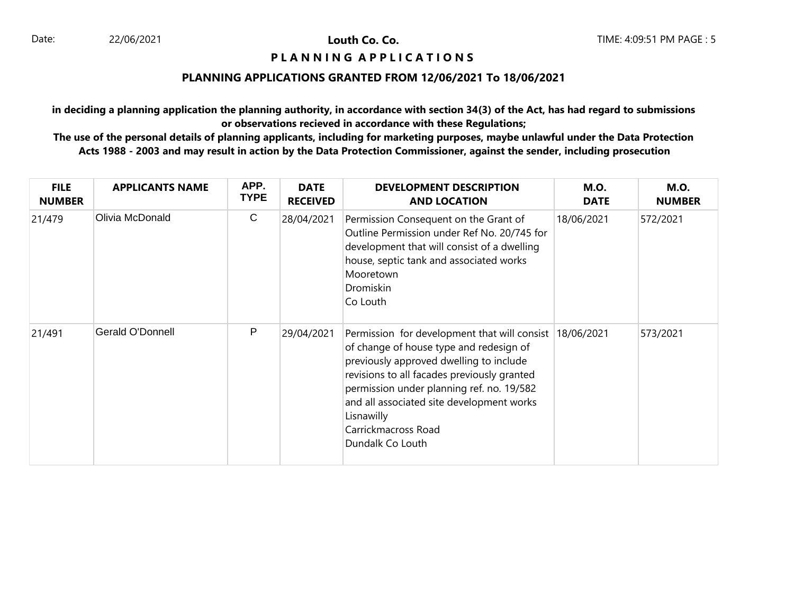# **PIANNING APPLICATIONS**

## **PLANNING APPLICATIONS GRANTED FROM 12/06/2021 To 18/06/2021**

**in deciding a planning application the planning authority, in accordance with section 34(3) of the Act, has had regard to submissions or observations recieved in accordance with these Regulations;**

| <b>FILE</b><br><b>NUMBER</b> | <b>APPLICANTS NAME</b> | APP.<br><b>TYPE</b> | <b>DATE</b><br><b>RECEIVED</b> | <b>DEVELOPMENT DESCRIPTION</b><br><b>AND LOCATION</b>                                                                                                                                                                                                                                                                                           | <b>M.O.</b><br><b>DATE</b> | <b>M.O.</b><br><b>NUMBER</b> |
|------------------------------|------------------------|---------------------|--------------------------------|-------------------------------------------------------------------------------------------------------------------------------------------------------------------------------------------------------------------------------------------------------------------------------------------------------------------------------------------------|----------------------------|------------------------------|
| 21/479                       | Olivia McDonald        | C                   | 28/04/2021                     | Permission Consequent on the Grant of<br>Outline Permission under Ref No. 20/745 for<br>development that will consist of a dwelling<br>house, septic tank and associated works<br>Mooretown<br>Dromiskin<br>Co Louth                                                                                                                            | 18/06/2021                 | 572/2021                     |
| 21/491                       | Gerald O'Donnell       | P                   | 29/04/2021                     | Permission for development that will consist 18/06/2021<br>of change of house type and redesign of<br>previously approved dwelling to include<br>revisions to all facades previously granted<br>permission under planning ref. no. 19/582<br>and all associated site development works<br>Lisnawilly<br>Carrickmacross Road<br>Dundalk Co Louth |                            | 573/2021                     |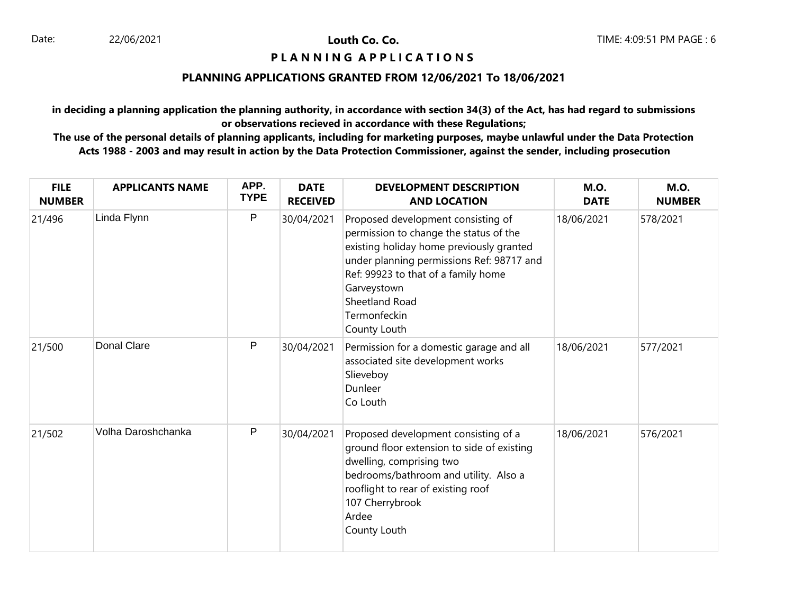## **PIANNING APPLICATIONS**

## **PLANNING APPLICATIONS GRANTED FROM 12/06/2021 To 18/06/2021**

**in deciding a planning application the planning authority, in accordance with section 34(3) of the Act, has had regard to submissions or observations recieved in accordance with these Regulations;**

| <b>FILE</b><br><b>NUMBER</b> | <b>APPLICANTS NAME</b> | APP.<br><b>TYPE</b> | <b>DATE</b><br><b>RECEIVED</b> | <b>DEVELOPMENT DESCRIPTION</b><br><b>AND LOCATION</b>                                                                                                                                                                                                                         | <b>M.O.</b><br><b>DATE</b> | <b>M.O.</b><br><b>NUMBER</b> |
|------------------------------|------------------------|---------------------|--------------------------------|-------------------------------------------------------------------------------------------------------------------------------------------------------------------------------------------------------------------------------------------------------------------------------|----------------------------|------------------------------|
| 21/496                       | Linda Flynn            | P                   | 30/04/2021                     | Proposed development consisting of<br>permission to change the status of the<br>existing holiday home previously granted<br>under planning permissions Ref: 98717 and<br>Ref: 99923 to that of a family home<br>Garveystown<br>Sheetland Road<br>Termonfeckin<br>County Louth | 18/06/2021                 | 578/2021                     |
| 21/500                       | Donal Clare            | P                   | 30/04/2021                     | Permission for a domestic garage and all<br>associated site development works<br>Slieveboy<br>Dunleer<br>Co Louth                                                                                                                                                             | 18/06/2021                 | 577/2021                     |
| 21/502                       | Volha Daroshchanka     | P                   | 30/04/2021                     | Proposed development consisting of a<br>ground floor extension to side of existing<br>dwelling, comprising two<br>bedrooms/bathroom and utility. Also a<br>rooflight to rear of existing roof<br>107 Cherrybrook<br>Ardee<br>County Louth                                     | 18/06/2021                 | 576/2021                     |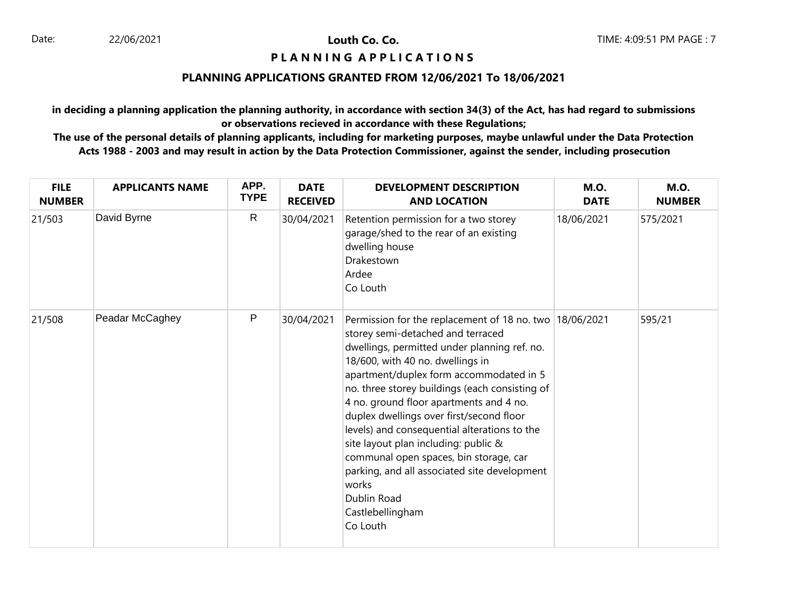# **PIANNING APPLICATIONS**

## **PLANNING APPLICATIONS GRANTED FROM 12/06/2021 To 18/06/2021**

**in deciding a planning application the planning authority, in accordance with section 34(3) of the Act, has had regard to submissions or observations recieved in accordance with these Regulations;**

| <b>FILE</b><br><b>NUMBER</b> | <b>APPLICANTS NAME</b> | APP.<br><b>TYPE</b> | <b>DATE</b><br><b>RECEIVED</b> | <b>DEVELOPMENT DESCRIPTION</b><br><b>AND LOCATION</b>                                                                                                                                                                                                                                                                                                                                                                                                                                                                                                                                                            | <b>M.O.</b><br><b>DATE</b> | <b>M.O.</b><br><b>NUMBER</b> |
|------------------------------|------------------------|---------------------|--------------------------------|------------------------------------------------------------------------------------------------------------------------------------------------------------------------------------------------------------------------------------------------------------------------------------------------------------------------------------------------------------------------------------------------------------------------------------------------------------------------------------------------------------------------------------------------------------------------------------------------------------------|----------------------------|------------------------------|
| 21/503                       | David Byrne            | $\mathsf{R}$        | 30/04/2021                     | Retention permission for a two storey<br>garage/shed to the rear of an existing<br>dwelling house<br>Drakestown<br>Ardee<br>Co Louth                                                                                                                                                                                                                                                                                                                                                                                                                                                                             | 18/06/2021                 | 575/2021                     |
| 21/508                       | Peadar McCaghey        | $\mathsf{P}$        | 30/04/2021                     | Permission for the replacement of 18 no. two $18/06/2021$<br>storey semi-detached and terraced<br>dwellings, permitted under planning ref. no.<br>18/600, with 40 no. dwellings in<br>apartment/duplex form accommodated in 5<br>no. three storey buildings (each consisting of<br>4 no. ground floor apartments and 4 no.<br>duplex dwellings over first/second floor<br>levels) and consequential alterations to the<br>site layout plan including: public &<br>communal open spaces, bin storage, car<br>parking, and all associated site development<br>works<br>Dublin Road<br>Castlebellingham<br>Co Louth |                            | 595/21                       |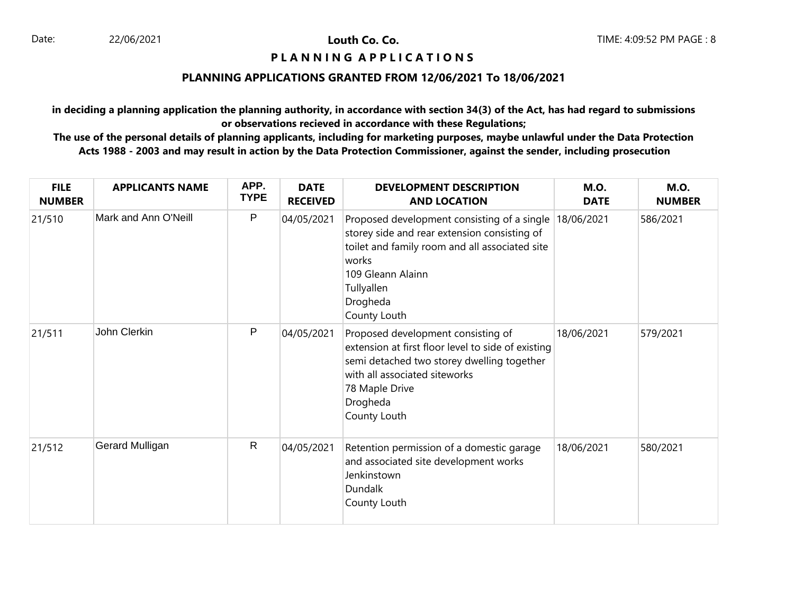# **PIANNING APPLICATIONS**

## **PLANNING APPLICATIONS GRANTED FROM 12/06/2021 To 18/06/2021**

**in deciding a planning application the planning authority, in accordance with section 34(3) of the Act, has had regard to submissions or observations recieved in accordance with these Regulations;**

| <b>FILE</b><br><b>NUMBER</b> | <b>APPLICANTS NAME</b> | APP.<br><b>TYPE</b> | <b>DATE</b><br><b>RECEIVED</b> | <b>DEVELOPMENT DESCRIPTION</b><br><b>AND LOCATION</b>                                                                                                                                                                            | <b>M.O.</b><br><b>DATE</b> | <b>M.O.</b><br><b>NUMBER</b> |
|------------------------------|------------------------|---------------------|--------------------------------|----------------------------------------------------------------------------------------------------------------------------------------------------------------------------------------------------------------------------------|----------------------------|------------------------------|
| 21/510                       | Mark and Ann O'Neill   | P                   | 04/05/2021                     | Proposed development consisting of a single 18/06/2021<br>storey side and rear extension consisting of<br>toilet and family room and all associated site<br>works<br>109 Gleann Alainn<br>Tullyallen<br>Drogheda<br>County Louth |                            | 586/2021                     |
| 21/511                       | John Clerkin           | P                   | 04/05/2021                     | Proposed development consisting of<br>extension at first floor level to side of existing<br>semi detached two storey dwelling together<br>with all associated siteworks<br>78 Maple Drive<br>Drogheda<br>County Louth            | 18/06/2021                 | 579/2021                     |
| 21/512                       | Gerard Mulligan        | $\mathsf{R}$        | 04/05/2021                     | Retention permission of a domestic garage<br>and associated site development works<br>Jenkinstown<br>Dundalk<br>County Louth                                                                                                     | 18/06/2021                 | 580/2021                     |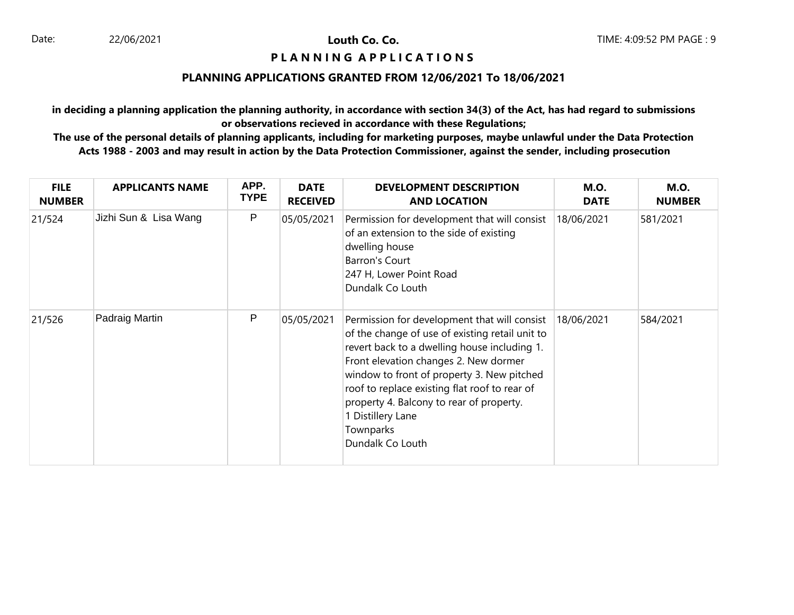# **PIANNING APPLICATIONS**

#### **PLANNING APPLICATIONS GRANTED FROM 12/06/2021 To 18/06/2021**

**in deciding a planning application the planning authority, in accordance with section 34(3) of the Act, has had regard to submissions or observations recieved in accordance with these Regulations;**

| <b>FILE</b><br><b>NUMBER</b> | <b>APPLICANTS NAME</b> | APP.<br><b>TYPE</b> | <b>DATE</b><br><b>RECEIVED</b> | <b>DEVELOPMENT DESCRIPTION</b><br><b>AND LOCATION</b>                                                                                                                                                                                                                                                                                                                                     | <b>M.O.</b><br><b>DATE</b> | <b>M.O.</b><br><b>NUMBER</b> |
|------------------------------|------------------------|---------------------|--------------------------------|-------------------------------------------------------------------------------------------------------------------------------------------------------------------------------------------------------------------------------------------------------------------------------------------------------------------------------------------------------------------------------------------|----------------------------|------------------------------|
| 21/524                       | Jizhi Sun & Lisa Wang  | P                   | 05/05/2021                     | Permission for development that will consist<br>of an extension to the side of existing<br>dwelling house<br>Barron's Court<br>247 H, Lower Point Road<br>Dundalk Co Louth                                                                                                                                                                                                                | 18/06/2021                 | 581/2021                     |
| 21/526                       | Padraig Martin         | P                   | 05/05/2021                     | Permission for development that will consist<br>of the change of use of existing retail unit to<br>revert back to a dwelling house including 1.<br>Front elevation changes 2. New dormer<br>window to front of property 3. New pitched<br>roof to replace existing flat roof to rear of<br>property 4. Balcony to rear of property.<br>1 Distillery Lane<br>Townparks<br>Dundalk Co Louth | 18/06/2021                 | 584/2021                     |